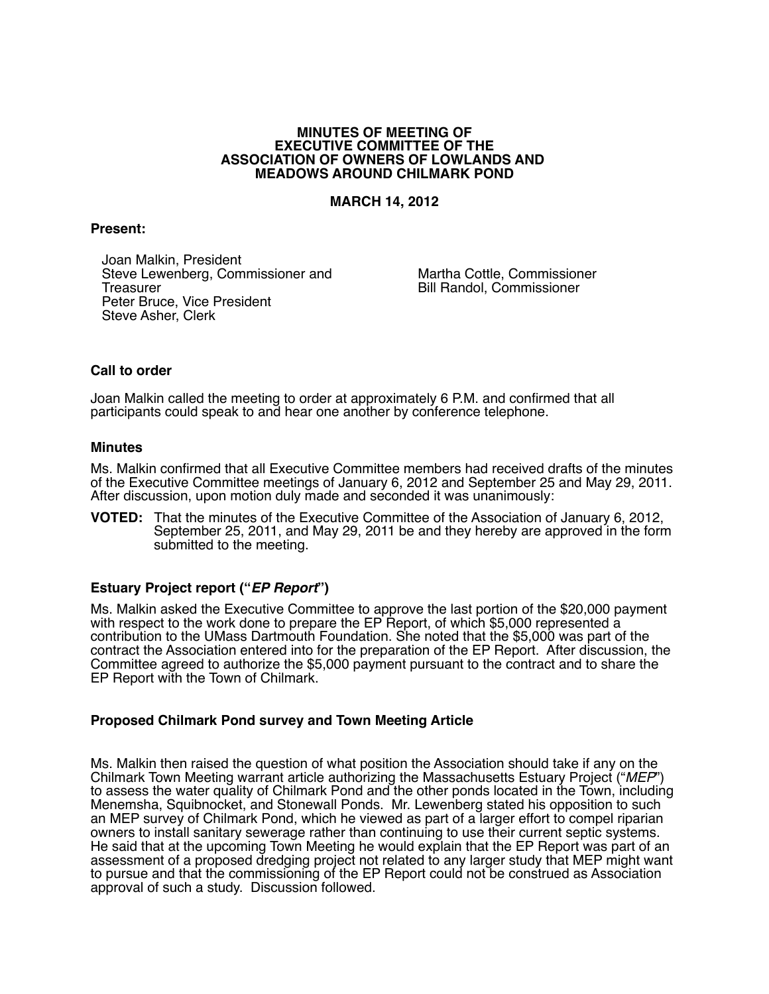#### **MINUTES OF MEETING OF EXECUTIVE COMMITTEE OF THE ASSOCIATION OF OWNERS OF LOWLANDS AND MEADOWS AROUND CHILMARK POND**

#### **MARCH 14, 2012**

#### **Present:**

Joan Malkin, President Steve Lewenberg, Commissioner and **Treasurer** Peter Bruce, Vice President Steve Asher, Clerk

Martha Cottle, Commissioner Bill Randol, Commissioner

# **Call to order**

Joan Malkin called the meeting to order at approximately 6 P.M. and confirmed that all participants could speak to and hear one another by conference telephone.

#### **Minutes**

Ms. Malkin confirmed that all Executive Committee members had received drafts of the minutes of the Executive Committee meetings of January 6, 2012 and September 25 and May 29, 2011. After discussion, upon motion duly made and seconded it was unanimously:

**VOTED:** That the minutes of the Executive Committee of the Association of January 6, 2012, September 25, 2011, and May 29, 2011 be and they hereby are approved in the form submitted to the meeting.

# **Estuary Project report ("***EP Report***")**

Ms. Malkin asked the Executive Committee to approve the last portion of the \$20,000 payment with respect to the work done to prepare the EP Report, of which \$5,000 represented a contribution to the UMass Dartmouth Foundation. She noted that the \$5,000 was part of the contract the Association entered into for the preparation of the EP Report. After discussion, the Committee agreed to authorize the \$5,000 payment pursuant to the contract and to share the EP Report with the Town of Chilmark.

# **Proposed Chilmark Pond survey and Town Meeting Article**

Ms. Malkin then raised the question of what position the Association should take if any on the Chilmark Town Meeting warrant article authorizing the Massachusetts Estuary Project ("*MEP*") to assess the water quality of Chilmark Pond and the other ponds located in the Town, including Menemsha, Squibnocket, and Stonewall Ponds. Mr. Lewenberg stated his opposition to such an MEP survey of Chilmark Pond, which he viewed as part of a larger effort to compel riparian owners to install sanitary sewerage rather than continuing to use their current septic systems. He said that at the upcoming Town Meeting he would explain that the EP Report was part of an assessment of a proposed dredging project not related to any larger study that MEP might want to pursue and that the commissioning of the EP Report could not be construed as Association approval of such a study. Discussion followed.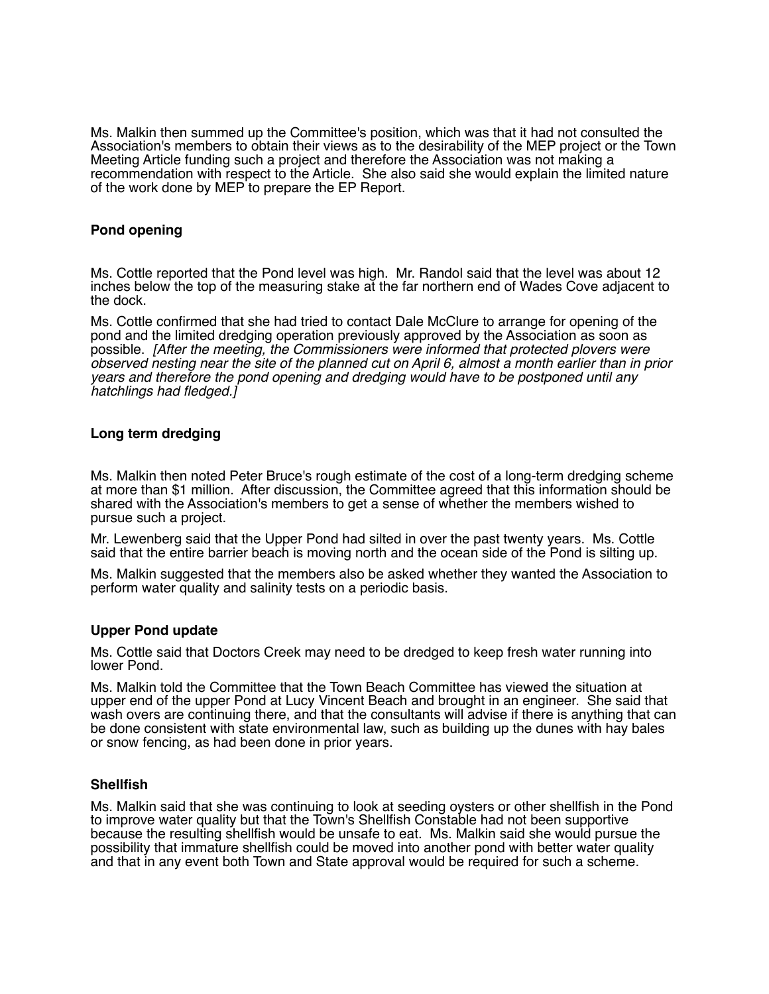Ms. Malkin then summed up the Committee's position, which was that it had not consulted the Association's members to obtain their views as to the desirability of the MEP project or the Town Meeting Article funding such a project and therefore the Association was not making a recommendation with respect to the Article. She also said she would explain the limited nature of the work done by MEP to prepare the EP Report.

# **Pond opening**

Ms. Cottle reported that the Pond level was high. Mr. Randol said that the level was about 12 inches below the top of the measuring stake at the far northern end of Wades Cove adjacent to the dock.

Ms. Cottle confirmed that she had tried to contact Dale McClure to arrange for opening of the pond and the limited dredging operation previously approved by the Association as soon as possible. *[After the meeting, the Commissioners were informed that protected plovers were observed nesting near the site of the planned cut on April 6, almost a month earlier than in prior years and therefore the pond opening and dredging would have to be postponed until any hatchlings had fledged.]* 

# **Long term dredging**

Ms. Malkin then noted Peter Bruce's rough estimate of the cost of a long-term dredging scheme at more than \$1 million. After discussion, the Committee agreed that this information should be shared with the Association's members to get a sense of whether the members wished to pursue such a project.

Mr. Lewenberg said that the Upper Pond had silted in over the past twenty years. Ms. Cottle said that the entire barrier beach is moving north and the ocean side of the Pond is silting up.

Ms. Malkin suggested that the members also be asked whether they wanted the Association to perform water quality and salinity tests on a periodic basis.

# **Upper Pond update**

Ms. Cottle said that Doctors Creek may need to be dredged to keep fresh water running into lower Pond.

Ms. Malkin told the Committee that the Town Beach Committee has viewed the situation at upper end of the upper Pond at Lucy Vincent Beach and brought in an engineer. She said that wash overs are continuing there, and that the consultants will advise if there is anything that can be done consistent with state environmental law, such as building up the dunes with hay bales or snow fencing, as had been done in prior years.

# **Shellfish**

Ms. Malkin said that she was continuing to look at seeding oysters or other shellfish in the Pond to improve water quality but that the Town's Shellfish Constable had not been supportive because the resulting shellfish would be unsafe to eat. Ms. Malkin said she would pursue the possibility that immature shellfish could be moved into another pond with better water quality and that in any event both Town and State approval would be required for such a scheme.